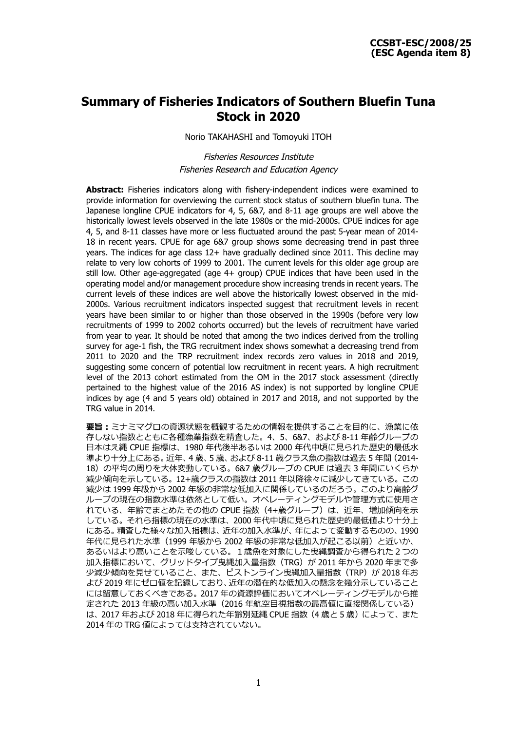# **Summary of Fisheries Indicators of Southern Bluefin Tuna Stock in 2020**

Norio TAKAHASHI and Tomoyuki ITOH

Fisheries Resources Institute Fisheries Research and Education Agency

**Abstract:** Fisheries indicators along with fishery-independent indices were examined to provide information for overviewing the current stock status of southern bluefin tuna. The Japanese longline CPUE indicators for 4, 5, 6&7, and 8-11 age groups are well above the historically lowest levels observed in the late 1980s or the mid-2000s. CPUE indices for age 4, 5, and 8-11 classes have more or less fluctuated around the past 5-year mean of 2014- 18 in recent years. CPUE for age 6&7 group shows some decreasing trend in past three years. The indices for age class 12+ have gradually declined since 2011. This decline may relate to very low cohorts of 1999 to 2001. The current levels for this older age group are still low. Other age-aggregated (age 4+ group) CPUE indices that have been used in the operating model and/or management procedure show increasing trends in recent years. The current levels of these indices are well above the historically lowest observed in the mid-2000s. Various recruitment indicators inspected suggest that recruitment levels in recent years have been similar to or higher than those observed in the 1990s (before very low recruitments of 1999 to 2002 cohorts occurred) but the levels of recruitment have varied from year to year. It should be noted that among the two indices derived from the trolling survey for age-1 fish, the TRG recruitment index shows somewhat a decreasing trend from 2011 to 2020 and the TRP recruitment index records zero values in 2018 and 2019, suggesting some concern of potential low recruitment in recent years. A high recruitment level of the 2013 cohort estimated from the OM in the 2017 stock assessment (directly pertained to the highest value of the 2016 AS index) is not supported by longline CPUE indices by age (4 and 5 years old) obtained in 2017 and 2018, and not supported by the TRG value in 2014.

**要旨:**ミナミマグロの資源状態を概観するための情報を提供することを目的に、漁業に依 存しない指数とともに各種漁業指数を精査した。4、5、6&7、および 8-11 年齢グループの 日本はえ縄 CPUE 指標は、1980 年代後半あるいは 2000 年代中頃に見られた歴史的最低水 準より十分上にある。近年、4 歳、5 歳、および 8-11 歳クラス魚の指数は過去 5 年間(2014- 18)の平均の周りを大体変動している。6&7 歳グループの CPUE は過去 3 年間にいくらか 減少傾向を示している。12+歳クラスの指数は 2011 年以降徐々に減少してきている。この 減少は 1999 年級から 2002 年級の非常な低加入に関係しているのだろう。このより高齢グ ループの現在の指数水準は依然として低い。オペレーティングモデルや管理方式に使用さ れている、年齢でまとめたその他の CPUE 指数(4+歳グループ)は、近年、増加傾向を示 している。それら指標の現在の水準は、2000 年代中頃に見られた歴史的最低値より十分上 にある。精査した様々な加入指標は、近年の加入水準が、年によって変動するものの、1990 年代に見られた水準(1999 年級から 2002 年級の非常な低加入が起こる以前)と近いか、 あるいはより高いことを示唆している。1歳魚を対象にした曳縄調査から得られた2つの 加入指標において、グリッドタイプ曳縄加入量指数 (TRG) が 2011 年から 2020 年まで多 少減少傾向を見せていること、また、ピストンライン曳縄加入量指数 (TRP) が 2018 年お よび 2019 年にゼロ値を記録しており、近年の潜在的な低加入の懸念を幾分示していること には留意しておくべきである。2017 年の資源評価においてオペレーティングモデルから推 定された 2013 年級の高い加入水準(2016 年航空目視指数の最高値に直接関係している) は、2017 年および 2018 年に得られた年齢別延縄 CPUE 指数(4 歳と 5 歳)によって、また 2014 年の TRG 値によっては支持されていない。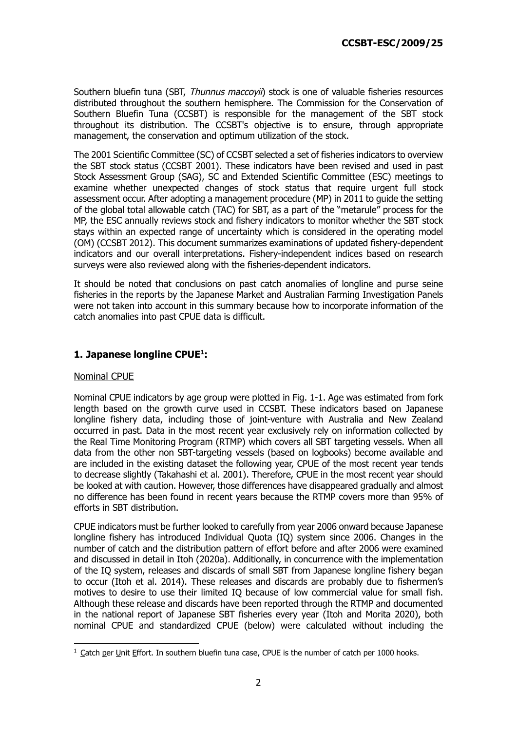Southern bluefin tuna (SBT, Thunnus maccovii) stock is one of valuable fisheries resources distributed throughout the southern hemisphere. The Commission for the Conservation of Southern Bluefin Tuna (CCSBT) is responsible for the management of the SBT stock throughout its distribution. The CCSBT's objective is to ensure, through appropriate management, the conservation and optimum utilization of the stock.

The 2001 Scientific Committee (SC) of CCSBT selected a set of fisheries indicators to overview the SBT stock status (CCSBT 2001). These indicators have been revised and used in past Stock Assessment Group (SAG), SC and Extended Scientific Committee (ESC) meetings to examine whether unexpected changes of stock status that require urgent full stock assessment occur. After adopting a management procedure (MP) in 2011 to guide the setting of the global total allowable catch (TAC) for SBT, as a part of the "metarule" process for the MP, the ESC annually reviews stock and fishery indicators to monitor whether the SBT stock stays within an expected range of uncertainty which is considered in the operating model (OM) (CCSBT 2012). This document summarizes examinations of updated fishery-dependent indicators and our overall interpretations. Fishery-independent indices based on research surveys were also reviewed along with the fisheries-dependent indicators.

It should be noted that conclusions on past catch anomalies of longline and purse seine fisheries in the reports by the Japanese Market and Australian Farming Investigation Panels were not taken into account in this summary because how to incorporate information of the catch anomalies into past CPUE data is difficult.

## **1. Japanese longline CPUE 1 :**

## Nominal CPUE

Nominal CPUE indicators by age group were plotted in Fig. 1-1. Age was estimated from fork length based on the growth curve used in CCSBT. These indicators based on Japanese longline fishery data, including those of joint-venture with Australia and New Zealand occurred in past. Data in the most recent year exclusively rely on information collected by the Real Time Monitoring Program (RTMP) which covers all SBT targeting vessels. When all data from the other non SBT-targeting vessels (based on logbooks) become available and are included in the existing dataset the following year, CPUE of the most recent year tends to decrease slightly (Takahashi et al. 2001). Therefore, CPUE in the most recent year should be looked at with caution. However, those differences have disappeared gradually and almost no difference has been found in recent years because the RTMP covers more than 95% of efforts in SBT distribution.

CPUE indicators must be further looked to carefully from year 2006 onward because Japanese longline fishery has introduced Individual Quota (IQ) system since 2006. Changes in the number of catch and the distribution pattern of effort before and after 2006 were examined and discussed in detail in Itoh (2020a). Additionally, in concurrence with the implementation of the IQ system, releases and discards of small SBT from Japanese longline fishery began to occur (Itoh et al. 2014). These releases and discards are probably due to fishermen's motives to desire to use their limited IQ because of low commercial value for small fish. Although these release and discards have been reported through the RTMP and documented in the national report of Japanese SBT fisheries every year (Itoh and Morita 2020), both nominal CPUE and standardized CPUE (below) were calculated without including the

 $1$  Catch per Unit Effort. In southern bluefin tuna case, CPUE is the number of catch per 1000 hooks.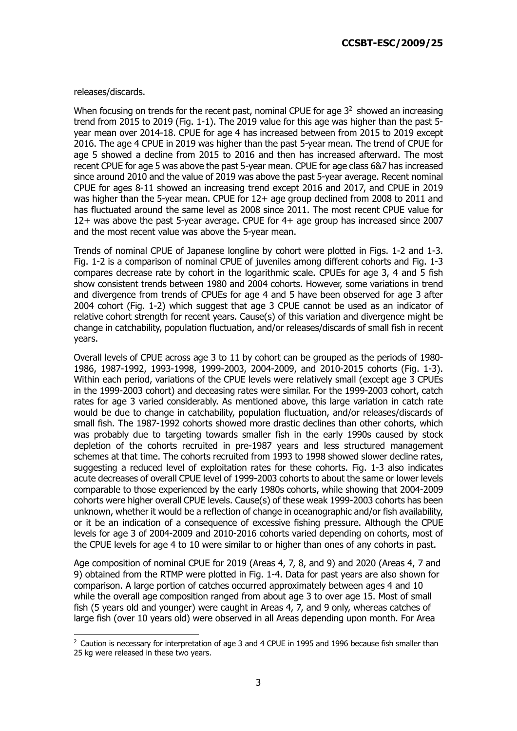#### releases/discards.

When focusing on trends for the recent past, nominal CPUE for age  $3<sup>2</sup>$  showed an increasing trend from 2015 to 2019 (Fig. 1-1). The 2019 value for this age was higher than the past 5 year mean over 2014-18. CPUE for age 4 has increased between from 2015 to 2019 except 2016. The age 4 CPUE in 2019 was higher than the past 5-year mean. The trend of CPUE for age 5 showed a decline from 2015 to 2016 and then has increased afterward. The most recent CPUE for age 5 was above the past 5-year mean. CPUE for age class 6&7 has increased since around 2010 and the value of 2019 was above the past 5-year average. Recent nominal CPUE for ages 8-11 showed an increasing trend except 2016 and 2017, and CPUE in 2019 was higher than the 5-year mean. CPUE for 12+ age group declined from 2008 to 2011 and has fluctuated around the same level as 2008 since 2011. The most recent CPUE value for 12+ was above the past 5-year average. CPUE for 4+ age group has increased since 2007 and the most recent value was above the 5-year mean.

Trends of nominal CPUE of Japanese longline by cohort were plotted in Figs. 1-2 and 1-3. Fig. 1-2 is a comparison of nominal CPUE of juveniles among different cohorts and Fig. 1-3 compares decrease rate by cohort in the logarithmic scale. CPUEs for age 3, 4 and 5 fish show consistent trends between 1980 and 2004 cohorts. However, some variations in trend and divergence from trends of CPUEs for age 4 and 5 have been observed for age 3 after 2004 cohort (Fig. 1-2) which suggest that age 3 CPUE cannot be used as an indicator of relative cohort strength for recent years. Cause(s) of this variation and divergence might be change in catchability, population fluctuation, and/or releases/discards of small fish in recent years.

Overall levels of CPUE across age 3 to 11 by cohort can be grouped as the periods of 1980- 1986, 1987-1992, 1993-1998, 1999-2003, 2004-2009, and 2010-2015 cohorts (Fig. 1-3). Within each period, variations of the CPUE levels were relatively small (except age 3 CPUEs in the 1999-2003 cohort) and deceasing rates were similar. For the 1999-2003 cohort, catch rates for age 3 varied considerably. As mentioned above, this large variation in catch rate would be due to change in catchability, population fluctuation, and/or releases/discards of small fish. The 1987-1992 cohorts showed more drastic declines than other cohorts, which was probably due to targeting towards smaller fish in the early 1990s caused by stock depletion of the cohorts recruited in pre-1987 years and less structured management schemes at that time. The cohorts recruited from 1993 to 1998 showed slower decline rates, suggesting a reduced level of exploitation rates for these cohorts. Fig. 1-3 also indicates acute decreases of overall CPUE level of 1999-2003 cohorts to about the same or lower levels comparable to those experienced by the early 1980s cohorts, while showing that 2004-2009 cohorts were higher overall CPUE levels. Cause(s) of these weak 1999-2003 cohorts has been unknown, whether it would be a reflection of change in oceanographic and/or fish availability, or it be an indication of a consequence of excessive fishing pressure. Although the CPUE levels for age 3 of 2004-2009 and 2010-2016 cohorts varied depending on cohorts, most of the CPUE levels for age 4 to 10 were similar to or higher than ones of any cohorts in past.

Age composition of nominal CPUE for 2019 (Areas 4, 7, 8, and 9) and 2020 (Areas 4, 7 and 9) obtained from the RTMP were plotted in Fig. 1-4. Data for past years are also shown for comparison. A large portion of catches occurred approximately between ages 4 and 10 while the overall age composition ranged from about age 3 to over age 15. Most of small fish (5 years old and younger) were caught in Areas 4, 7, and 9 only, whereas catches of large fish (over 10 years old) were observed in all Areas depending upon month. For Area

 $2$  Caution is necessary for interpretation of age 3 and 4 CPUE in 1995 and 1996 because fish smaller than 25 kg were released in these two years.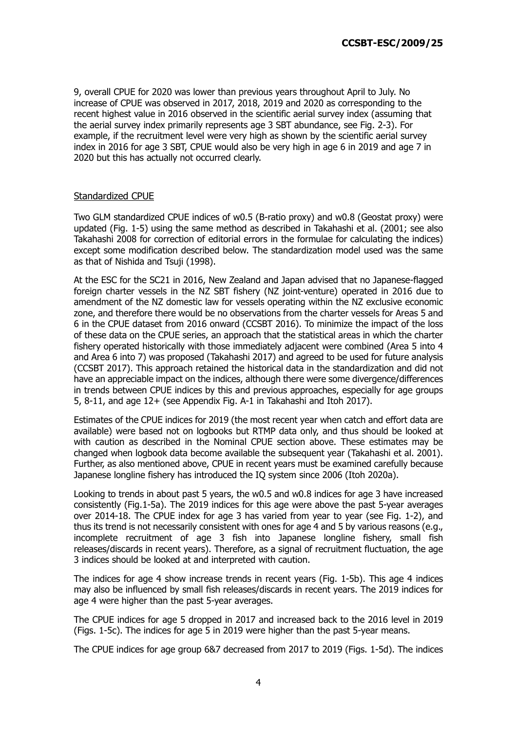9, overall CPUE for 2020 was lower than previous years throughout April to July. No increase of CPUE was observed in 2017, 2018, 2019 and 2020 as corresponding to the recent highest value in 2016 observed in the scientific aerial survey index (assuming that the aerial survey index primarily represents age 3 SBT abundance, see Fig. 2-3). For example, if the recruitment level were very high as shown by the scientific aerial survey index in 2016 for age 3 SBT, CPUE would also be very high in age 6 in 2019 and age 7 in 2020 but this has actually not occurred clearly.

## Standardized CPUE

Two GLM standardized CPUE indices of w0.5 (B-ratio proxy) and w0.8 (Geostat proxy) were updated (Fig. 1-5) using the same method as described in Takahashi et al. (2001; see also Takahashi 2008 for correction of editorial errors in the formulae for calculating the indices) except some modification described below. The standardization model used was the same as that of Nishida and Tsuji (1998).

At the ESC for the SC21 in 2016, New Zealand and Japan advised that no Japanese-flagged foreign charter vessels in the NZ SBT fishery (NZ joint-venture) operated in 2016 due to amendment of the NZ domestic law for vessels operating within the NZ exclusive economic zone, and therefore there would be no observations from the charter vessels for Areas 5 and 6 in the CPUE dataset from 2016 onward (CCSBT 2016). To minimize the impact of the loss of these data on the CPUE series, an approach that the statistical areas in which the charter fishery operated historically with those immediately adjacent were combined (Area 5 into 4 and Area 6 into 7) was proposed (Takahashi 2017) and agreed to be used for future analysis (CCSBT 2017). This approach retained the historical data in the standardization and did not have an appreciable impact on the indices, although there were some divergence/differences in trends between CPUE indices by this and previous approaches, especially for age groups 5, 8-11, and age 12+ (see Appendix Fig. A-1 in Takahashi and Itoh 2017).

Estimates of the CPUE indices for 2019 (the most recent year when catch and effort data are available) were based not on logbooks but RTMP data only, and thus should be looked at with caution as described in the Nominal CPUE section above. These estimates may be changed when logbook data become available the subsequent year (Takahashi et al. 2001). Further, as also mentioned above, CPUE in recent years must be examined carefully because Japanese longline fishery has introduced the IQ system since 2006 (Itoh 2020a).

Looking to trends in about past 5 years, the w0.5 and w0.8 indices for age 3 have increased consistently (Fig.1-5a). The 2019 indices for this age were above the past 5-year averages over 2014-18. The CPUE index for age 3 has varied from year to year (see Fig. 1-2), and thus its trend is not necessarily consistent with ones for age 4 and 5 by various reasons (e.g., incomplete recruitment of age 3 fish into Japanese longline fishery, small fish releases/discards in recent years). Therefore, as a signal of recruitment fluctuation, the age 3 indices should be looked at and interpreted with caution.

The indices for age 4 show increase trends in recent years (Fig. 1-5b). This age 4 indices may also be influenced by small fish releases/discards in recent years. The 2019 indices for age 4 were higher than the past 5-year averages.

The CPUE indices for age 5 dropped in 2017 and increased back to the 2016 level in 2019 (Figs. 1-5c). The indices for age 5 in 2019 were higher than the past 5-year means.

The CPUE indices for age group 6&7 decreased from 2017 to 2019 (Figs. 1-5d). The indices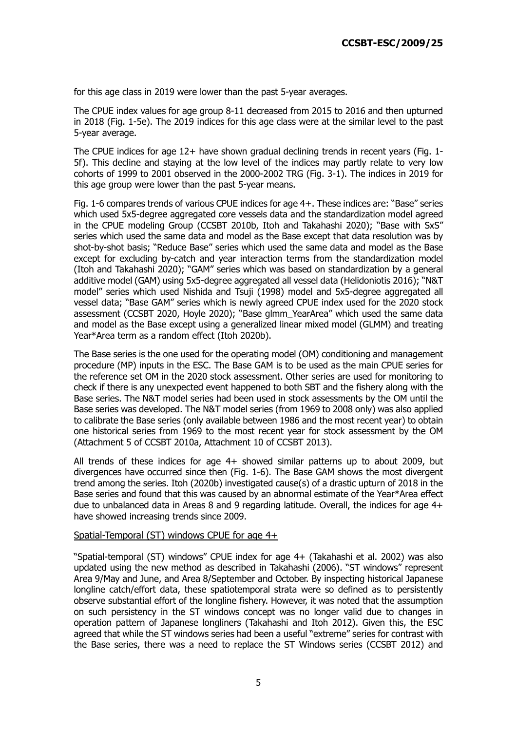for this age class in 2019 were lower than the past 5-year averages.

The CPUE index values for age group 8-11 decreased from 2015 to 2016 and then upturned in 2018 (Fig. 1-5e). The 2019 indices for this age class were at the similar level to the past 5-year average.

The CPUE indices for age 12+ have shown gradual declining trends in recent years (Fig. 1-5f). This decline and staying at the low level of the indices may partly relate to very low cohorts of 1999 to 2001 observed in the 2000-2002 TRG (Fig. 3-1). The indices in 2019 for this age group were lower than the past 5-year means.

Fig. 1-6 compares trends of various CPUE indices for age 4+. These indices are: "Base" series which used 5x5-degree aggregated core vessels data and the standardization model agreed in the CPUE modeling Group (CCSBT 2010b, Itoh and Takahashi 2020); "Base with SxS" series which used the same data and model as the Base except that data resolution was by shot-by-shot basis; "Reduce Base" series which used the same data and model as the Base except for excluding by-catch and year interaction terms from the standardization model (Itoh and Takahashi 2020); "GAM" series which was based on standardization by a general additive model (GAM) using 5x5-degree aggregated all vessel data (Helidoniotis 2016); "N&T model" series which used Nishida and Tsuji (1998) model and 5x5-degree aggregated all vessel data; "Base GAM" series which is newly agreed CPUE index used for the 2020 stock assessment (CCSBT 2020, Hoyle 2020); "Base glmm\_YearArea" which used the same data and model as the Base except using a generalized linear mixed model (GLMM) and treating Year\*Area term as a random effect (Itoh 2020b).

The Base series is the one used for the operating model (OM) conditioning and management procedure (MP) inputs in the ESC. The Base GAM is to be used as the main CPUE series for the reference set OM in the 2020 stock assessment. Other series are used for monitoring to check if there is any unexpected event happened to both SBT and the fishery along with the Base series. The N&T model series had been used in stock assessments by the OM until the Base series was developed. The N&T model series (from 1969 to 2008 only) was also applied to calibrate the Base series (only available between 1986 and the most recent year) to obtain one historical series from 1969 to the most recent year for stock assessment by the OM (Attachment 5 of CCSBT 2010a, Attachment 10 of CCSBT 2013).

All trends of these indices for age 4+ showed similar patterns up to about 2009, but divergences have occurred since then (Fig. 1-6). The Base GAM shows the most divergent trend among the series. Itoh (2020b) investigated cause(s) of a drastic upturn of 2018 in the Base series and found that this was caused by an abnormal estimate of the Year\*Area effect due to unbalanced data in Areas 8 and 9 regarding latitude. Overall, the indices for age 4+ have showed increasing trends since 2009.

#### Spatial-Temporal (ST) windows CPUE for age 4+

"Spatial-temporal (ST) windows" CPUE index for age 4+ (Takahashi et al. 2002) was also updated using the new method as described in Takahashi (2006). "ST windows" represent Area 9/May and June, and Area 8/September and October. By inspecting historical Japanese longline catch/effort data, these spatiotemporal strata were so defined as to persistently observe substantial effort of the longline fishery. However, it was noted that the assumption on such persistency in the ST windows concept was no longer valid due to changes in operation pattern of Japanese longliners (Takahashi and Itoh 2012). Given this, the ESC agreed that while the ST windows series had been a useful "extreme" series for contrast with the Base series, there was a need to replace the ST Windows series (CCSBT 2012) and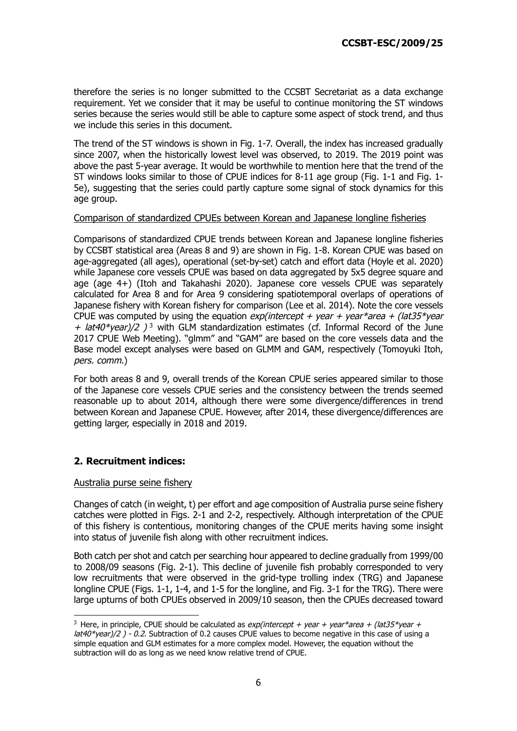therefore the series is no longer submitted to the CCSBT Secretariat as a data exchange requirement. Yet we consider that it may be useful to continue monitoring the ST windows series because the series would still be able to capture some aspect of stock trend, and thus we include this series in this document.

The trend of the ST windows is shown in Fig. 1-7. Overall, the index has increased gradually since 2007, when the historically lowest level was observed, to 2019. The 2019 point was above the past 5-year average. It would be worthwhile to mention here that the trend of the ST windows looks similar to those of CPUE indices for 8-11 age group (Fig. 1-1 and Fig. 1- 5e), suggesting that the series could partly capture some signal of stock dynamics for this age group.

## Comparison of standardized CPUEs between Korean and Japanese longline fisheries

Comparisons of standardized CPUE trends between Korean and Japanese longline fisheries by CCSBT statistical area (Areas 8 and 9) are shown in Fig. 1-8. Korean CPUE was based on age-aggregated (all ages), operational (set-by-set) catch and effort data (Hoyle et al. 2020) while Japanese core vessels CPUE was based on data aggregated by 5x5 degree square and age (age 4+) (Itoh and Takahashi 2020). Japanese core vessels CPUE was separately calculated for Area 8 and for Area 9 considering spatiotemporal overlaps of operations of Japanese fishery with Korean fishery for comparison (Lee et al. 2014). Note the core vessels CPUE was computed by using the equation  $exp(intexcept + year + year^*)$  $+$  lat40\*year)/2 )<sup>3</sup> with GLM standardization estimates (cf. Informal Record of the June 2017 CPUE Web Meeting). "glmm" and "GAM" are based on the core vessels data and the Base model except analyses were based on GLMM and GAM, respectively (Tomoyuki Itoh, pers. comm.)

For both areas 8 and 9, overall trends of the Korean CPUE series appeared similar to those of the Japanese core vessels CPUE series and the consistency between the trends seemed reasonable up to about 2014, although there were some divergence/differences in trend between Korean and Japanese CPUE. However, after 2014, these divergence/differences are getting larger, especially in 2018 and 2019.

## **2. Recruitment indices:**

#### Australia purse seine fishery

Changes of catch (in weight, t) per effort and age composition of Australia purse seine fishery catches were plotted in Figs. 2-1 and 2-2, respectively. Although interpretation of the CPUE of this fishery is contentious, monitoring changes of the CPUE merits having some insight into status of juvenile fish along with other recruitment indices.

Both catch per shot and catch per searching hour appeared to decline gradually from 1999/00 to 2008/09 seasons (Fig. 2-1). This decline of juvenile fish probably corresponded to very low recruitments that were observed in the grid-type trolling index (TRG) and Japanese longline CPUE (Figs. 1-1, 1-4, and 1-5 for the longline, and Fig. 3-1 for the TRG). There were large upturns of both CPUEs observed in 2009/10 season, then the CPUEs decreased toward

<sup>&</sup>lt;sup>3</sup> Here, in principle, CPUE should be calculated as *exp(intercept + year + year\*area + (lat35\*year +*  $lat40*year)/2$ ) - 0.2. Subtraction of 0.2 causes CPUE values to become negative in this case of using a simple equation and GLM estimates for a more complex model. However, the equation without the subtraction will do as long as we need know relative trend of CPUE.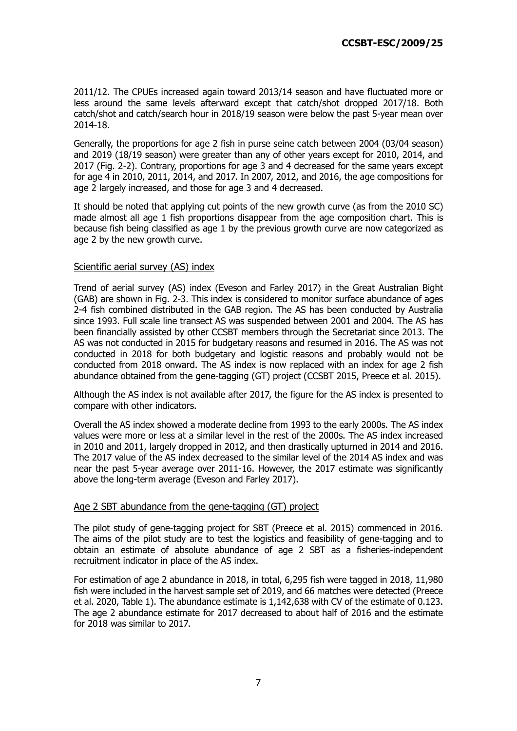2011/12. The CPUEs increased again toward 2013/14 season and have fluctuated more or less around the same levels afterward except that catch/shot dropped 2017/18. Both catch/shot and catch/search hour in 2018/19 season were below the past 5-year mean over 2014-18.

Generally, the proportions for age 2 fish in purse seine catch between 2004 (03/04 season) and 2019 (18/19 season) were greater than any of other years except for 2010, 2014, and 2017 (Fig. 2-2). Contrary, proportions for age 3 and 4 decreased for the same years except for age 4 in 2010, 2011, 2014, and 2017. In 2007, 2012, and 2016, the age compositions for age 2 largely increased, and those for age 3 and 4 decreased.

It should be noted that applying cut points of the new growth curve (as from the 2010 SC) made almost all age 1 fish proportions disappear from the age composition chart. This is because fish being classified as age 1 by the previous growth curve are now categorized as age 2 by the new growth curve.

## Scientific aerial survey (AS) index

Trend of aerial survey (AS) index (Eveson and Farley 2017) in the Great Australian Bight (GAB) are shown in Fig. 2-3. This index is considered to monitor surface abundance of ages 2-4 fish combined distributed in the GAB region. The AS has been conducted by Australia since 1993. Full scale line transect AS was suspended between 2001 and 2004. The AS has been financially assisted by other CCSBT members through the Secretariat since 2013. The AS was not conducted in 2015 for budgetary reasons and resumed in 2016. The AS was not conducted in 2018 for both budgetary and logistic reasons and probably would not be conducted from 2018 onward. The AS index is now replaced with an index for age 2 fish abundance obtained from the gene-tagging (GT) project (CCSBT 2015, Preece et al. 2015).

Although the AS index is not available after 2017, the figure for the AS index is presented to compare with other indicators.

Overall the AS index showed a moderate decline from 1993 to the early 2000s. The AS index values were more or less at a similar level in the rest of the 2000s. The AS index increased in 2010 and 2011, largely dropped in 2012, and then drastically upturned in 2014 and 2016. The 2017 value of the AS index decreased to the similar level of the 2014 AS index and was near the past 5-year average over 2011-16. However, the 2017 estimate was significantly above the long-term average (Eveson and Farley 2017).

## Age 2 SBT abundance from the gene-tagging (GT) project

The pilot study of gene-tagging project for SBT (Preece et al. 2015) commenced in 2016. The aims of the pilot study are to test the logistics and feasibility of gene-tagging and to obtain an estimate of absolute abundance of age 2 SBT as a fisheries-independent recruitment indicator in place of the AS index.

For estimation of age 2 abundance in 2018, in total, 6,295 fish were tagged in 2018, 11,980 fish were included in the harvest sample set of 2019, and 66 matches were detected (Preece et al. 2020, Table 1). The abundance estimate is 1,142,638 with CV of the estimate of 0.123. The age 2 abundance estimate for 2017 decreased to about half of 2016 and the estimate for 2018 was similar to 2017.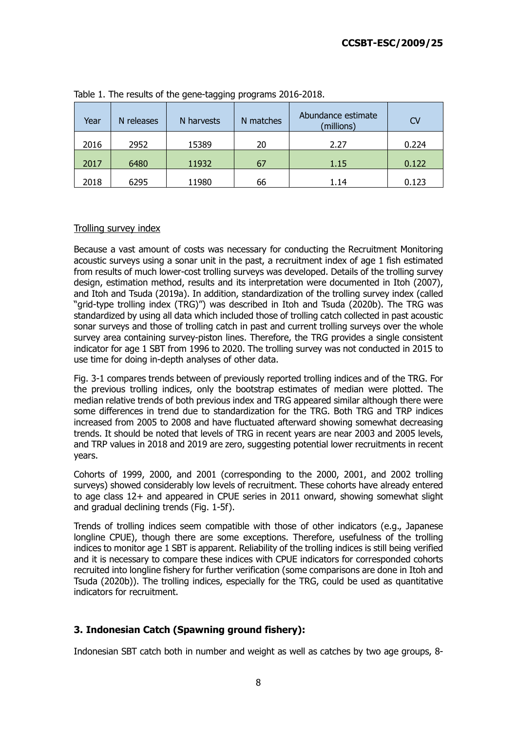| Year | N releases | N harvests | N matches | Abundance estimate<br>(millions) | <b>CV</b> |
|------|------------|------------|-----------|----------------------------------|-----------|
| 2016 | 2952       | 15389      | 20        | 2.27                             | 0.224     |
| 2017 | 6480       | 11932      | 67        | 1.15                             | 0.122     |
| 2018 | 6295       | 11980      | 66        | 1.14                             | 0.123     |

Table 1. The results of the gene-tagging programs 2016-2018.

## Trolling survey index

Because a vast amount of costs was necessary for conducting the Recruitment Monitoring acoustic surveys using a sonar unit in the past, a recruitment index of age 1 fish estimated from results of much lower-cost trolling surveys was developed. Details of the trolling survey design, estimation method, results and its interpretation were documented in Itoh (2007), and Itoh and Tsuda (2019a). In addition, standardization of the trolling survey index (called "grid-type trolling index (TRG)") was described in Itoh and Tsuda (2020b). The TRG was standardized by using all data which included those of trolling catch collected in past acoustic sonar surveys and those of trolling catch in past and current trolling surveys over the whole survey area containing survey-piston lines. Therefore, the TRG provides a single consistent indicator for age 1 SBT from 1996 to 2020. The trolling survey was not conducted in 2015 to use time for doing in-depth analyses of other data.

Fig. 3-1 compares trends between of previously reported trolling indices and of the TRG. For the previous trolling indices, only the bootstrap estimates of median were plotted. The median relative trends of both previous index and TRG appeared similar although there were some differences in trend due to standardization for the TRG. Both TRG and TRP indices increased from 2005 to 2008 and have fluctuated afterward showing somewhat decreasing trends. It should be noted that levels of TRG in recent years are near 2003 and 2005 levels, and TRP values in 2018 and 2019 are zero, suggesting potential lower recruitments in recent years.

Cohorts of 1999, 2000, and 2001 (corresponding to the 2000, 2001, and 2002 trolling surveys) showed considerably low levels of recruitment. These cohorts have already entered to age class 12+ and appeared in CPUE series in 2011 onward, showing somewhat slight and gradual declining trends (Fig. 1-5f).

Trends of trolling indices seem compatible with those of other indicators (e.g., Japanese longline CPUE), though there are some exceptions. Therefore, usefulness of the trolling indices to monitor age 1 SBT is apparent. Reliability of the trolling indices is still being verified and it is necessary to compare these indices with CPUE indicators for corresponded cohorts recruited into longline fishery for further verification (some comparisons are done in Itoh and Tsuda (2020b)). The trolling indices, especially for the TRG, could be used as quantitative indicators for recruitment.

## **3. Indonesian Catch (Spawning ground fishery):**

Indonesian SBT catch both in number and weight as well as catches by two age groups, 8-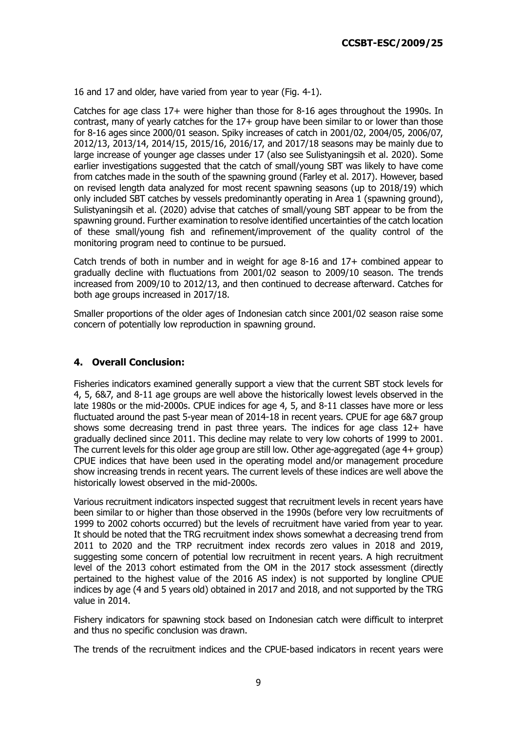16 and 17 and older, have varied from year to year (Fig. 4-1).

Catches for age class 17+ were higher than those for 8-16 ages throughout the 1990s. In contrast, many of yearly catches for the 17+ group have been similar to or lower than those for 8-16 ages since 2000/01 season. Spiky increases of catch in 2001/02, 2004/05, 2006/07, 2012/13, 2013/14, 2014/15, 2015/16, 2016/17, and 2017/18 seasons may be mainly due to large increase of younger age classes under 17 (also see Sulistyaningsih et al. 2020). Some earlier investigations suggested that the catch of small/young SBT was likely to have come from catches made in the south of the spawning ground (Farley et al. 2017). However, based on revised length data analyzed for most recent spawning seasons (up to 2018/19) which only included SBT catches by vessels predominantly operating in Area 1 (spawning ground), Sulistyaningsih et al. (2020) advise that catches of small/young SBT appear to be from the spawning ground. Further examination to resolve identified uncertainties of the catch location of these small/young fish and refinement/improvement of the quality control of the monitoring program need to continue to be pursued.

Catch trends of both in number and in weight for age 8-16 and 17+ combined appear to gradually decline with fluctuations from 2001/02 season to 2009/10 season. The trends increased from 2009/10 to 2012/13, and then continued to decrease afterward. Catches for both age groups increased in 2017/18.

Smaller proportions of the older ages of Indonesian catch since 2001/02 season raise some concern of potentially low reproduction in spawning ground.

## **4. Overall Conclusion:**

Fisheries indicators examined generally support a view that the current SBT stock levels for 4, 5, 6&7, and 8-11 age groups are well above the historically lowest levels observed in the late 1980s or the mid-2000s. CPUE indices for age 4, 5, and 8-11 classes have more or less fluctuated around the past 5-year mean of 2014-18 in recent years. CPUE for age 6&7 group shows some decreasing trend in past three years. The indices for age class 12+ have gradually declined since 2011. This decline may relate to very low cohorts of 1999 to 2001. The current levels for this older age group are still low. Other age-aggregated (age 4+ group) CPUE indices that have been used in the operating model and/or management procedure show increasing trends in recent years. The current levels of these indices are well above the historically lowest observed in the mid-2000s.

Various recruitment indicators inspected suggest that recruitment levels in recent years have been similar to or higher than those observed in the 1990s (before very low recruitments of 1999 to 2002 cohorts occurred) but the levels of recruitment have varied from year to year. It should be noted that the TRG recruitment index shows somewhat a decreasing trend from 2011 to 2020 and the TRP recruitment index records zero values in 2018 and 2019, suggesting some concern of potential low recruitment in recent years. A high recruitment level of the 2013 cohort estimated from the OM in the 2017 stock assessment (directly pertained to the highest value of the 2016 AS index) is not supported by longline CPUE indices by age (4 and 5 years old) obtained in 2017 and 2018, and not supported by the TRG value in 2014.

Fishery indicators for spawning stock based on Indonesian catch were difficult to interpret and thus no specific conclusion was drawn.

The trends of the recruitment indices and the CPUE-based indicators in recent years were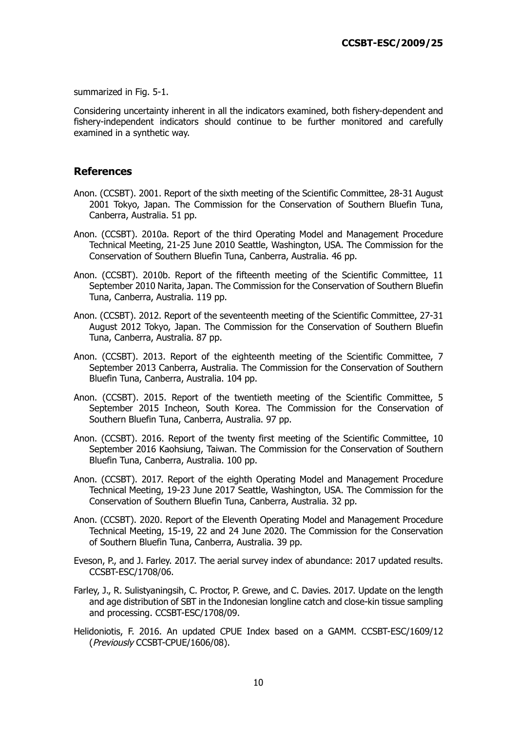summarized in Fig. 5-1.

Considering uncertainty inherent in all the indicators examined, both fishery-dependent and fishery-independent indicators should continue to be further monitored and carefully examined in a synthetic way.

## **References**

- Anon. (CCSBT). 2001. Report of the sixth meeting of the Scientific Committee, 28-31 August 2001 Tokyo, Japan. The Commission for the Conservation of Southern Bluefin Tuna, Canberra, Australia. 51 pp.
- Anon. (CCSBT). 2010a. Report of the third Operating Model and Management Procedure Technical Meeting, 21-25 June 2010 Seattle, Washington, USA. The Commission for the Conservation of Southern Bluefin Tuna, Canberra, Australia. 46 pp.
- Anon. (CCSBT). 2010b. Report of the fifteenth meeting of the Scientific Committee, 11 September 2010 Narita, Japan. The Commission for the Conservation of Southern Bluefin Tuna, Canberra, Australia. 119 pp.
- Anon. (CCSBT). 2012. Report of the seventeenth meeting of the Scientific Committee, 27-31 August 2012 Tokyo, Japan. The Commission for the Conservation of Southern Bluefin Tuna, Canberra, Australia. 87 pp.
- Anon. (CCSBT). 2013. Report of the eighteenth meeting of the Scientific Committee, 7 September 2013 Canberra, Australia. The Commission for the Conservation of Southern Bluefin Tuna, Canberra, Australia. 104 pp.
- Anon. (CCSBT). 2015. Report of the twentieth meeting of the Scientific Committee, 5 September 2015 Incheon, South Korea. The Commission for the Conservation of Southern Bluefin Tuna, Canberra, Australia. 97 pp.
- Anon. (CCSBT). 2016. Report of the twenty first meeting of the Scientific Committee, 10 September 2016 Kaohsiung, Taiwan. The Commission for the Conservation of Southern Bluefin Tuna, Canberra, Australia. 100 pp.
- Anon. (CCSBT). 2017. Report of the eighth Operating Model and Management Procedure Technical Meeting, 19-23 June 2017 Seattle, Washington, USA. The Commission for the Conservation of Southern Bluefin Tuna, Canberra, Australia. 32 pp.
- Anon. (CCSBT). 2020. Report of the Eleventh Operating Model and Management Procedure Technical Meeting, 15-19, 22 and 24 June 2020. The Commission for the Conservation of Southern Bluefin Tuna, Canberra, Australia. 39 pp.
- Eveson, P., and J. Farley. 2017. The aerial survey index of abundance: 2017 updated results. CCSBT-ESC/1708/06.
- Farley, J., R. Sulistyaningsih, C. Proctor, P. Grewe, and C. Davies. 2017. Update on the length and age distribution of SBT in the Indonesian longline catch and close-kin tissue sampling and processing. CCSBT-ESC/1708/09.
- Helidoniotis, F. 2016. An updated CPUE Index based on a GAMM. CCSBT-ESC/1609/12 (Previously CCSBT-CPUE/1606/08).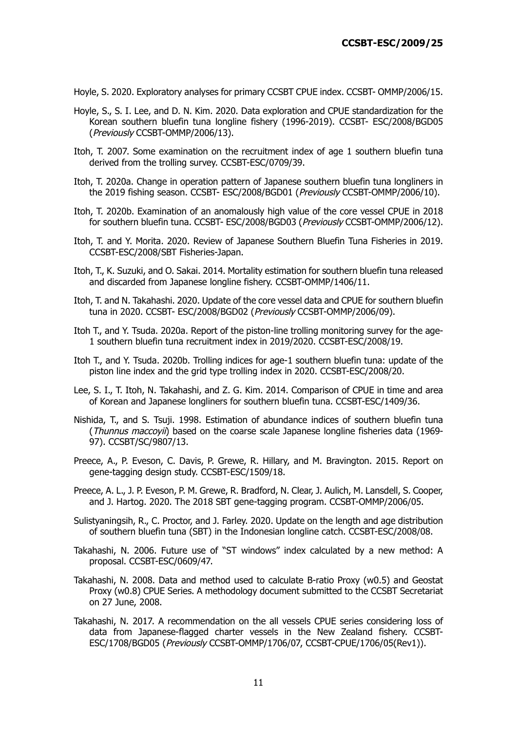Hoyle, S. 2020. Exploratory analyses for primary CCSBT CPUE index. CCSBT- OMMP/2006/15.

- Hoyle, S., S. I. Lee, and D. N. Kim. 2020. Data exploration and CPUE standardization for the Korean southern bluefin tuna longline fishery (1996-2019). CCSBT- ESC/2008/BGD05 (Previously CCSBT-OMMP/2006/13).
- Itoh, T. 2007. Some examination on the recruitment index of age 1 southern bluefin tuna derived from the trolling survey. CCSBT-ESC/0709/39.
- Itoh, T. 2020a. Change in operation pattern of Japanese southern bluefin tuna longliners in the 2019 fishing season. CCSBT- ESC/2008/BGD01 (Previously CCSBT-OMMP/2006/10).
- Itoh, T. 2020b. Examination of an anomalously high value of the core vessel CPUE in 2018 for southern bluefin tuna. CCSBT- ESC/2008/BGD03 (Previously CCSBT-OMMP/2006/12).
- Itoh, T. and Y. Morita. 2020. Review of Japanese Southern Bluefin Tuna Fisheries in 2019. CCSBT-ESC/2008/SBT Fisheries-Japan.
- Itoh, T., K. Suzuki, and O. Sakai. 2014. Mortality estimation for southern bluefin tuna released and discarded from Japanese longline fishery. CCSBT-OMMP/1406/11.
- Itoh, T. and N. Takahashi. 2020. Update of the core vessel data and CPUE for southern bluefin tuna in 2020. CCSBT- ESC/2008/BGD02 (Previously CCSBT-OMMP/2006/09).
- Itoh T., and Y. Tsuda. 2020a. Report of the piston-line trolling monitoring survey for the age-1 southern bluefin tuna recruitment index in 2019/2020. CCSBT-ESC/2008/19.
- Itoh T., and Y. Tsuda. 2020b. Trolling indices for age-1 southern bluefin tuna: update of the piston line index and the grid type trolling index in 2020. CCSBT-ESC/2008/20.
- Lee, S. I., T. Itoh, N. Takahashi, and Z. G. Kim. 2014. Comparison of CPUE in time and area of Korean and Japanese longliners for southern bluefin tuna. CCSBT-ESC/1409/36.
- Nishida, T., and S. Tsuji. 1998. Estimation of abundance indices of southern bluefin tuna (Thunnus maccoyii) based on the coarse scale Japanese longline fisheries data (1969- 97). CCSBT/SC/9807/13.
- Preece, A., P. Eveson, C. Davis, P. Grewe, R. Hillary, and M. Bravington. 2015. Report on gene-tagging design study. CCSBT-ESC/1509/18.
- Preece, A. L., J. P. Eveson, P. M. Grewe, R. Bradford, N. Clear, J. Aulich, M. Lansdell, S. Cooper, and J. Hartog. 2020. The 2018 SBT gene-tagging program. CCSBT-OMMP/2006/05.
- Sulistyaningsih, R., C. Proctor, and J. Farley. 2020. Update on the length and age distribution of southern bluefin tuna (SBT) in the Indonesian longline catch. CCSBT-ESC/2008/08.
- Takahashi, N. 2006. Future use of "ST windows" index calculated by a new method: A proposal. CCSBT-ESC/0609/47.
- Takahashi, N. 2008. Data and method used to calculate B-ratio Proxy (w0.5) and Geostat Proxy (w0.8) CPUE Series. A methodology document submitted to the CCSBT Secretariat on 27 June, 2008.
- Takahashi, N. 2017. A recommendation on the all vessels CPUE series considering loss of data from Japanese-flagged charter vessels in the New Zealand fishery. CCSBT-ESC/1708/BGD05 (Previously CCSBT-OMMP/1706/07, CCSBT-CPUE/1706/05(Rev1)).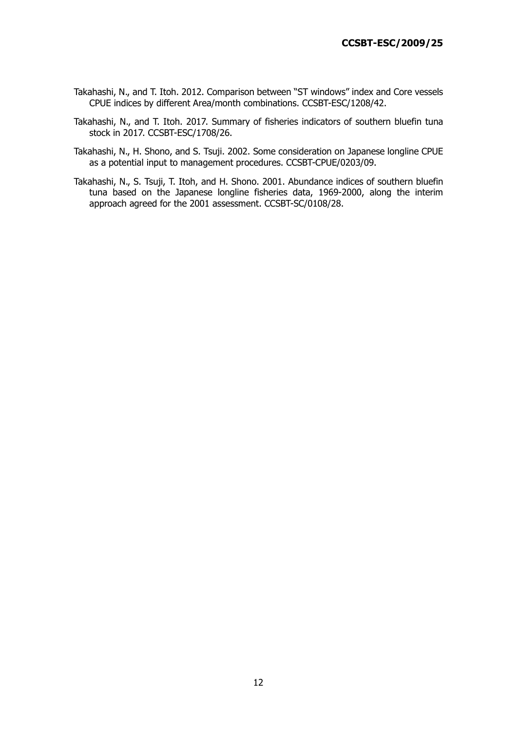- Takahashi, N., and T. Itoh. 2012. Comparison between "ST windows" index and Core vessels CPUE indices by different Area/month combinations. CCSBT-ESC/1208/42.
- Takahashi, N., and T. Itoh. 2017. Summary of fisheries indicators of southern bluefin tuna stock in 2017. CCSBT-ESC/1708/26.
- Takahashi, N., H. Shono, and S. Tsuji. 2002. Some consideration on Japanese longline CPUE as a potential input to management procedures. CCSBT-CPUE/0203/09.
- Takahashi, N., S. Tsuji, T. Itoh, and H. Shono. 2001. Abundance indices of southern bluefin tuna based on the Japanese longline fisheries data, 1969-2000, along the interim approach agreed for the 2001 assessment. CCSBT-SC/0108/28.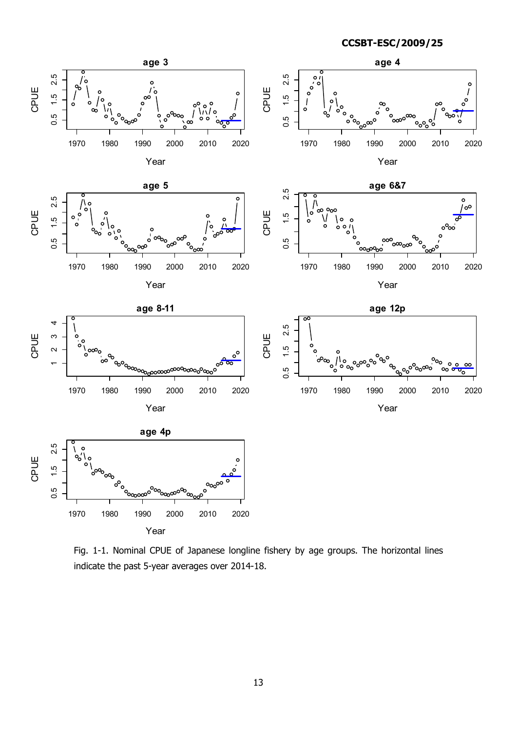

Fig. 1-1. Nominal CPUE of Japanese longline fishery by age groups. The horizontal lines indicate the past 5-year averages over 2014-18.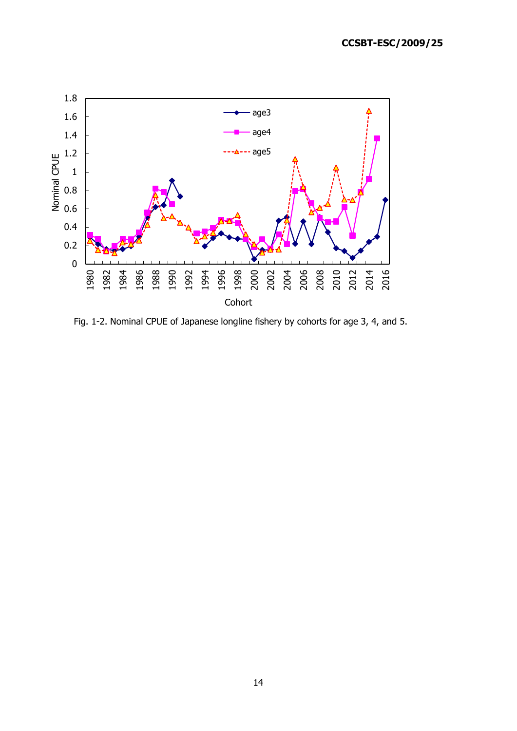

Fig. 1-2. Nominal CPUE of Japanese longline fishery by cohorts for age 3, 4, and 5.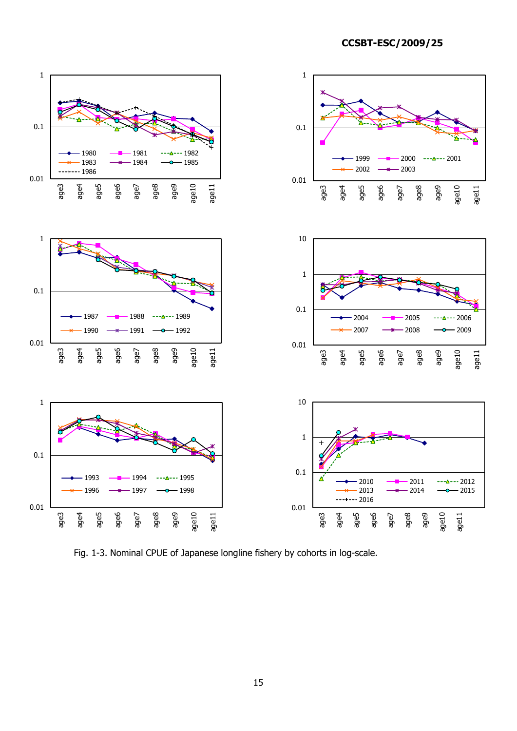**CCSBT-ESC/2009/25**



Fig. 1-3. Nominal CPUE of Japanese longline fishery by cohorts in log-scale.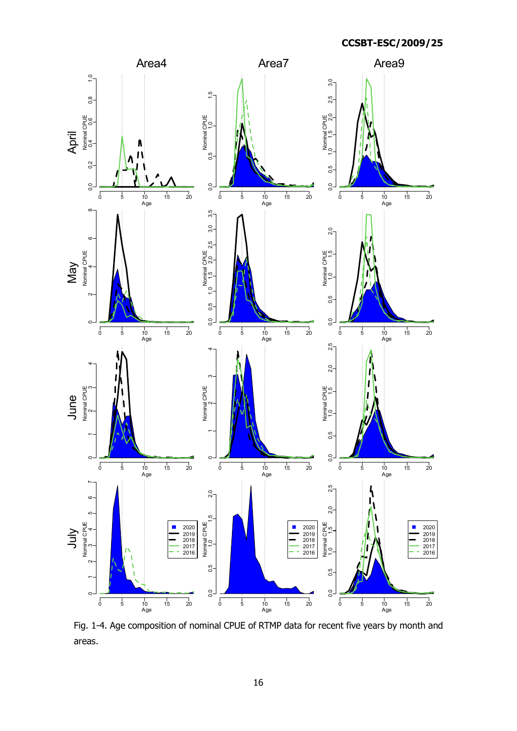

Fig. 1-4. Age composition of nominal CPUE of RTMP data for recent five years by month and areas.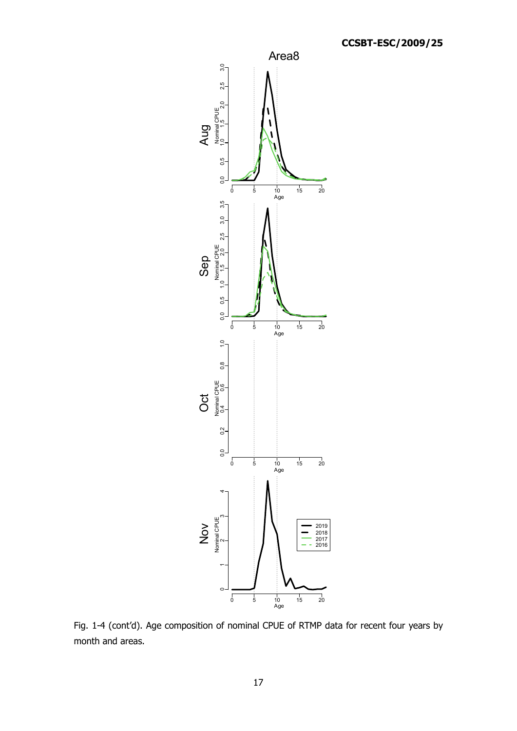

Fig. 1-4 (cont'd). Age composition of nominal CPUE of RTMP data for recent four years by month and areas.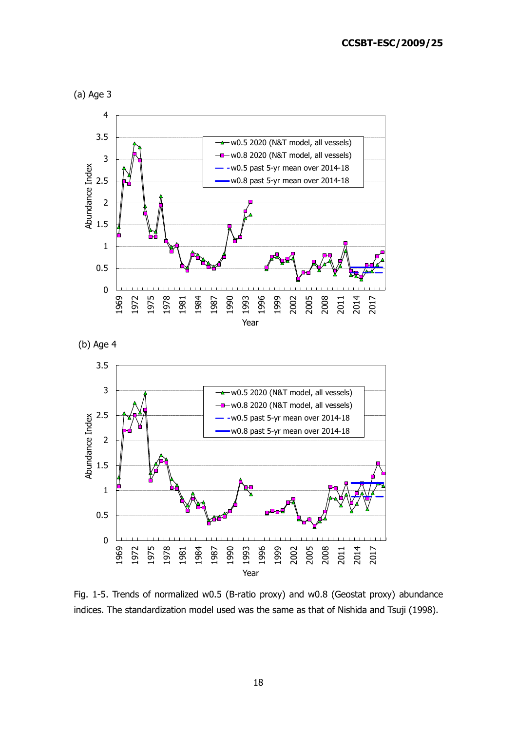







Fig. 1-5. Trends of normalized w0.5 (B-ratio proxy) and w0.8 (Geostat proxy) abundance indices. The standardization model used was the same as that of Nishida and Tsuji (1998).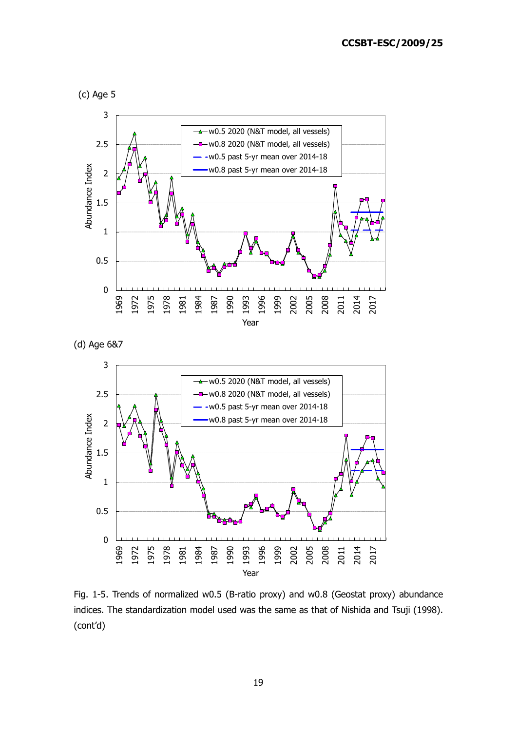



(d) Age 6&7



Fig. 1-5. Trends of normalized w0.5 (B-ratio proxy) and w0.8 (Geostat proxy) abundance indices. The standardization model used was the same as that of Nishida and Tsuji (1998). (cont'd)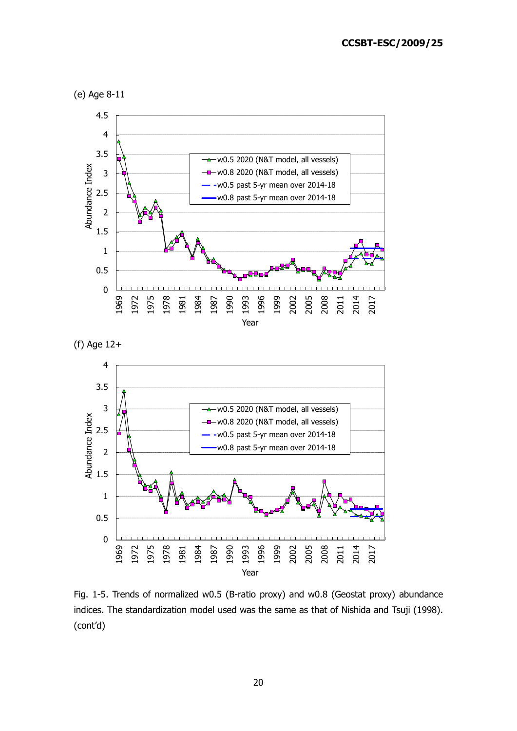



(f) Age 12+



Fig. 1-5. Trends of normalized w0.5 (B-ratio proxy) and w0.8 (Geostat proxy) abundance indices. The standardization model used was the same as that of Nishida and Tsuji (1998). (cont'd)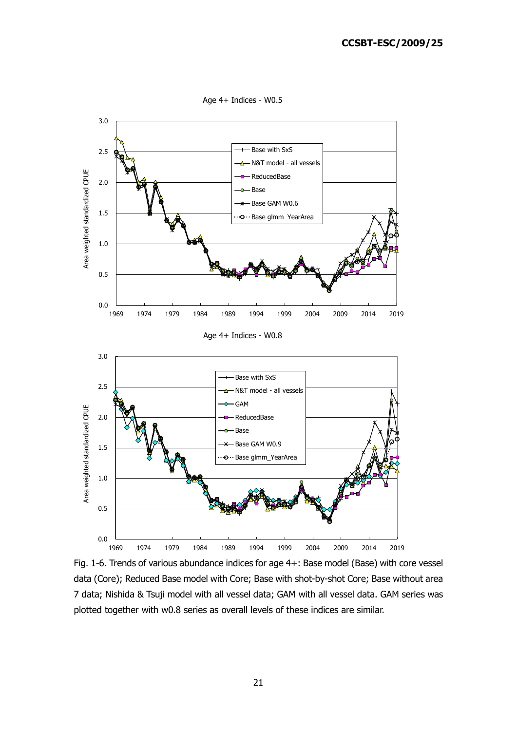Age 4+ Indices - W0.5



Fig. 1-6. Trends of various abundance indices for age 4+: Base model (Base) with core vessel data (Core); Reduced Base model with Core; Base with shot-by-shot Core; Base without area 7 data; Nishida & Tsuji model with all vessel data; GAM with all vessel data. GAM series was plotted together with w0.8 series as overall levels of these indices are similar.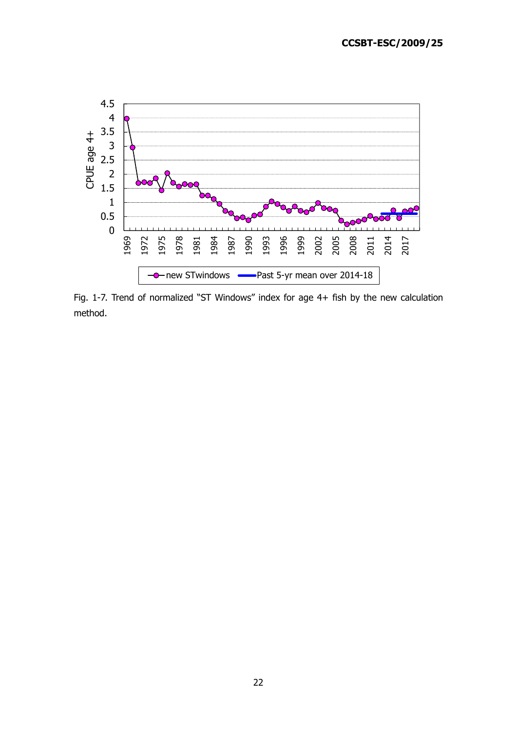

Fig. 1-7. Trend of normalized "ST Windows" index for age 4+ fish by the new calculation method.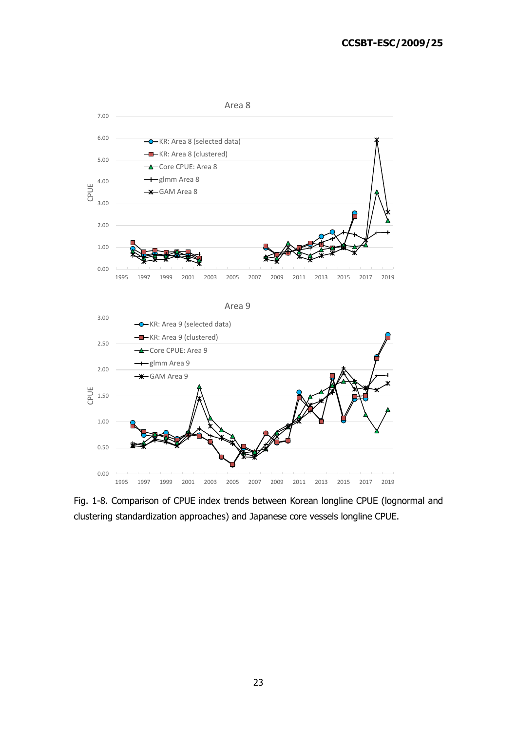

Fig. 1-8. Comparison of CPUE index trends between Korean longline CPUE (lognormal and clustering standardization approaches) and Japanese core vessels longline CPUE.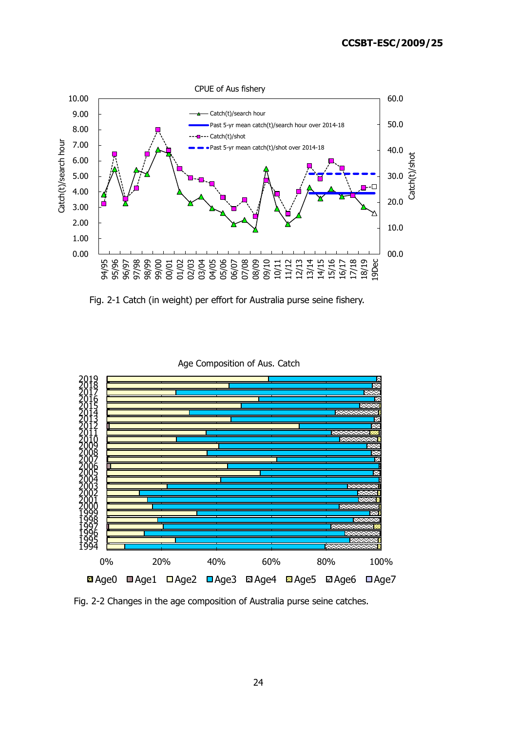

Fig. 2-1 Catch (in weight) per effort for Australia purse seine fishery.

Age Composition of Aus. Catch



Fig. 2-2 Changes in the age composition of Australia purse seine catches.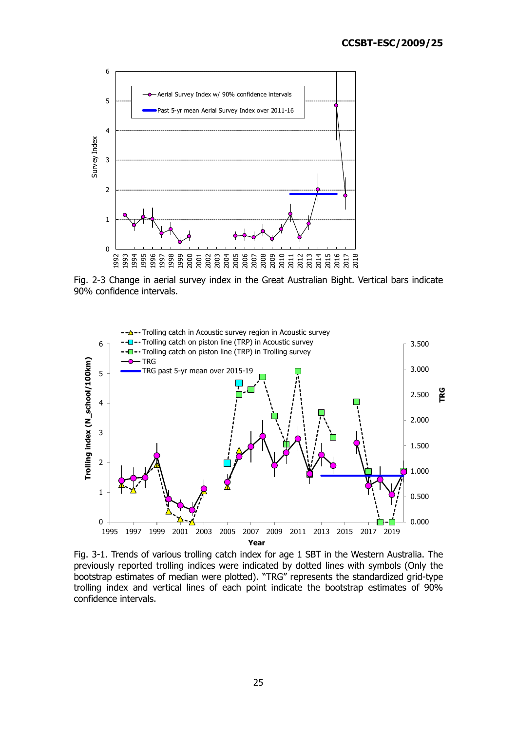

Fig. 2-3 Change in aerial survey index in the Great Australian Bight. Vertical bars indicate 90% confidence intervals.



Fig. 3-1. Trends of various trolling catch index for age 1 SBT in the Western Australia. The previously reported trolling indices were indicated by dotted lines with symbols (Only the bootstrap estimates of median were plotted). "TRG" represents the standardized grid-type trolling index and vertical lines of each point indicate the bootstrap estimates of 90% confidence intervals.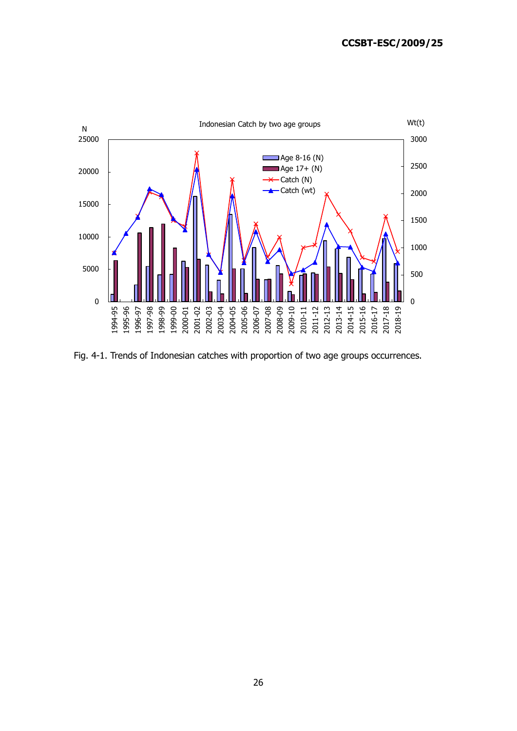

Fig. 4-1. Trends of Indonesian catches with proportion of two age groups occurrences.